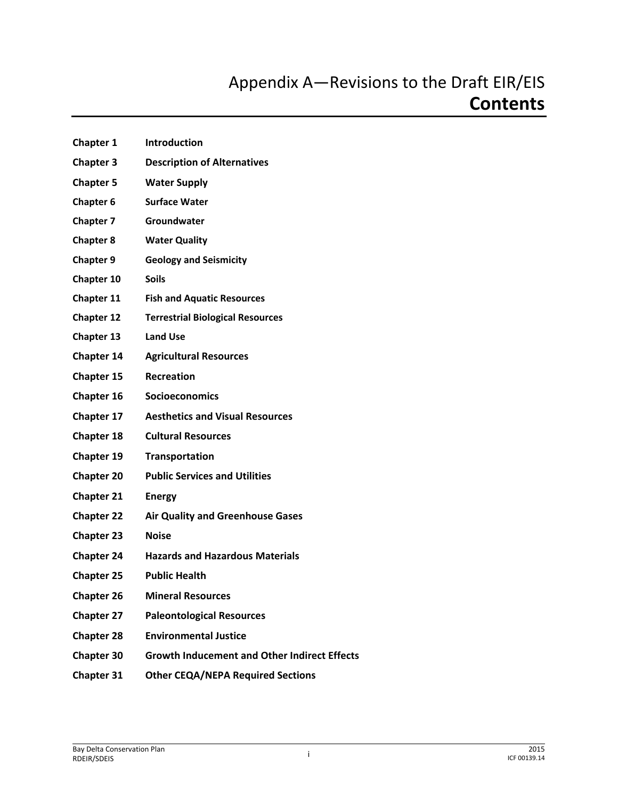- **Chapter 1 Introduction Chapter 3 Description of Alternatives Chapter 5 Water Supply Chapter 6 Surface Water Chapter 7 Groundwater Chapter 8 Water Quality Chapter 9 Geology and Seismicity Chapter 10 Soils Chapter 11 Fish and Aquatic Resources Chapter 12 Terrestrial Biological Resources Chapter 13 Land Use Chapter 14 Agricultural Resources Chapter 15 Recreation Chapter 16 Socioeconomics Chapter 17 Aesthetics and Visual Resources Chapter 18 Cultural Resources Chapter 19 Transportation Chapter 20 Public Services and Utilities Chapter 21 Energy Chapter 22 Air Quality and Greenhouse Gases Chapter 23 Noise Chapter 24 Hazards and Hazardous Materials Chapter 25 Public Health Chapter 26 Mineral Resources Chapter 27 Paleontological Resources Chapter 28 Environmental Justice Chapter 30 Growth Inducement and Other Indirect Effects**
- **Chapter 31 Other CEQA/NEPA Required Sections**